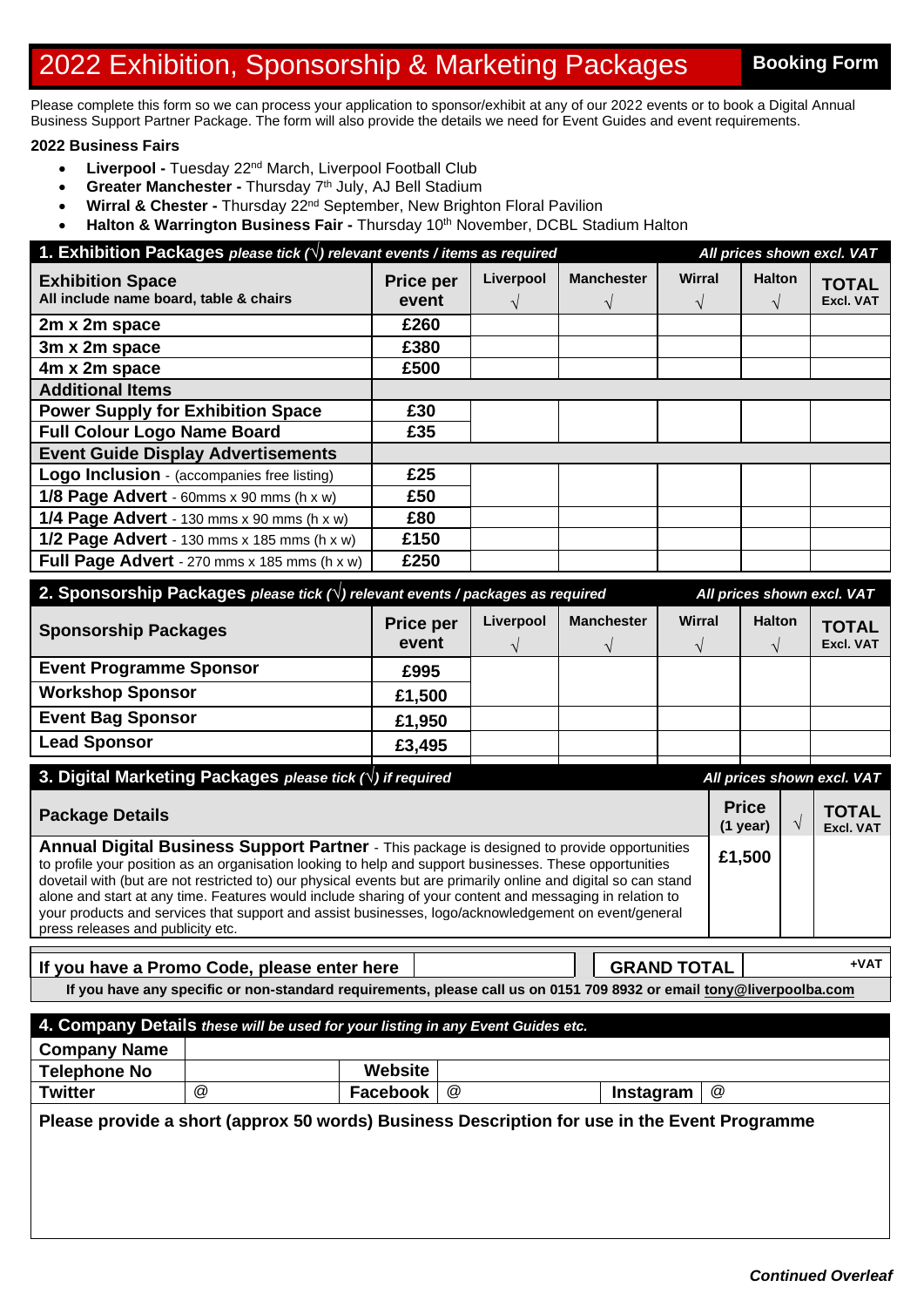## 2022 Exhibition, Sponsorship & Marketing Packages Booking Form

Please complete this form so we can process your application to sponsor/exhibit at any of our 2022 events or to book a Digital Annual Business Support Partner Package. The form will also provide the details we need for Event Guides and event requirements.

## **2022 Business Fairs**

- **Liverpool -** Tuesday 22<sup>nd</sup> March, Liverpool Football Club
- **Greater Manchester Thursday 7th July, AJ Bell Stadium**
- **Wirral & Chester -** Thursday 22nd September, New Brighton Floral Pavilion
- **Halton & Warrington Business Fair -** Thursday 10<sup>th</sup> November, DCBL Stadium Halton

| 1. Exhibition Packages please tick $(\vee)$ relevant events / items as required<br>All prices shown excl. VAT |                           |           |                   |               |               |                                  |
|---------------------------------------------------------------------------------------------------------------|---------------------------|-----------|-------------------|---------------|---------------|----------------------------------|
| <b>Exhibition Space</b><br>All include name board, table & chairs                                             | <b>Price per</b><br>event | Liverpool | <b>Manchester</b> | <b>Wirral</b> | <b>Halton</b> | <b>TOTAL</b><br><b>Excl. VAT</b> |
| 2m x 2m space                                                                                                 | £260                      |           |                   |               |               |                                  |
| 3m x 2m space                                                                                                 | £380                      |           |                   |               |               |                                  |
| 4m x 2m space                                                                                                 | £500                      |           |                   |               |               |                                  |
| <b>Additional Items</b>                                                                                       |                           |           |                   |               |               |                                  |
| <b>Power Supply for Exhibition Space</b>                                                                      | £30                       |           |                   |               |               |                                  |
| <b>Full Colour Logo Name Board</b>                                                                            | £35                       |           |                   |               |               |                                  |
| <b>Event Guide Display Advertisements</b>                                                                     |                           |           |                   |               |               |                                  |
| Logo Inclusion - (accompanies free listing)                                                                   | £25                       |           |                   |               |               |                                  |
| 1/8 Page Advert - 60mms x 90 mms (h x w)                                                                      | £50                       |           |                   |               |               |                                  |
| 1/4 Page Advert - 130 mms $x$ 90 mms (h $x$ w)                                                                | £80                       |           |                   |               |               |                                  |
| 1/2 Page Advert - 130 mms $x$ 185 mms (h $x$ w)                                                               | £150                      |           |                   |               |               |                                  |
| Full Page Advert - 270 mms x 185 mms (h x w)                                                                  | £250                      |           |                   |               |               |                                  |

| 2. Sponsorship Packages please tick $\wedge$ ) relevant events / packages as required<br>All prices shown excl. VAT |                           |           |                   |        |                                |                                  |
|---------------------------------------------------------------------------------------------------------------------|---------------------------|-----------|-------------------|--------|--------------------------------|----------------------------------|
| <b>Sponsorship Packages</b>                                                                                         | <b>Price per</b><br>event | Liverpool | <b>Manchester</b> | Wirral | <b>Halton</b><br>$\mathcal{N}$ | <b>TOTAL</b><br><b>Excl. VAT</b> |
| <b>Event Programme Sponsor</b>                                                                                      | £995                      |           |                   |        |                                |                                  |
| <b>Workshop Sponsor</b>                                                                                             | £1,500                    |           |                   |        |                                |                                  |
| <b>Event Bag Sponsor</b>                                                                                            | £1,950                    |           |                   |        |                                |                                  |
| <b>Lead Sponsor</b>                                                                                                 | £3,495                    |           |                   |        |                                |                                  |
|                                                                                                                     |                           |           |                   |        |                                |                                  |

| 3. Digital Marketing Packages please tick $(\vee)$ if required                                                                                                                                                                                                                                                                                                                                                                                                                                                                                                                     |                            | All prices shown excl. VAT |                                  |  |  |
|------------------------------------------------------------------------------------------------------------------------------------------------------------------------------------------------------------------------------------------------------------------------------------------------------------------------------------------------------------------------------------------------------------------------------------------------------------------------------------------------------------------------------------------------------------------------------------|----------------------------|----------------------------|----------------------------------|--|--|
| <b>Package Details</b>                                                                                                                                                                                                                                                                                                                                                                                                                                                                                                                                                             | <b>Price</b><br>$(1$ year) |                            | <b>TOTAL</b><br><b>Excl. VAT</b> |  |  |
| Annual Digital Business Support Partner - This package is designed to provide opportunities<br>to profile your position as an organisation looking to help and support businesses. These opportunities<br>dovetail with (but are not restricted to) our physical events but are primarily online and digital so can stand<br>alone and start at any time. Features would include sharing of your content and messaging in relation to<br>your products and services that support and assist businesses, logo/acknowledgement on event/general<br>press releases and publicity etc. | £1,500                     |                            |                                  |  |  |

| If you have a Promo Code, please enter here                                                                          |  | <b>GRAND TOTAL</b> | +VAT |  |  |
|----------------------------------------------------------------------------------------------------------------------|--|--------------------|------|--|--|
| If you have any specific or non-standard requirements, please call us on 0151 709 8932 or email tony@liverpoolba.com |  |                    |      |  |  |

| 4. Company Details these will be used for your listing in any Event Guides etc. |   |          |                      |           |   |
|---------------------------------------------------------------------------------|---|----------|----------------------|-----------|---|
| <b>Company Name</b>                                                             |   |          |                      |           |   |
| <b>Telephone No</b>                                                             |   | Website  |                      |           |   |
| <b>Twitter</b>                                                                  | @ | Facebook | $^{\textregistered}$ | Instagram | @ |
|                                                                                 |   |          |                      |           |   |

**Please provide a short (approx 50 words) Business Description for use in the Event Programme**